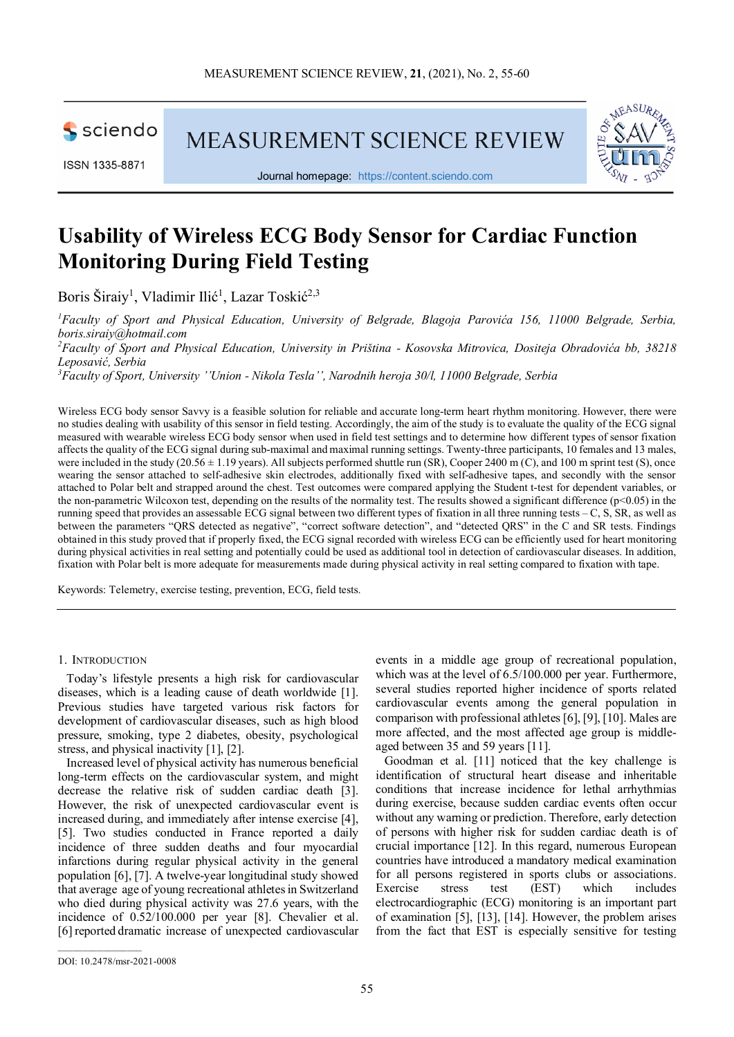

ISSN 1335-8871

MEASUREMENT SCIENCE REVIEW



Journal homepage: [https://content.sciendo.com](https://content.sciendo.com/view/journals/msr/msr-overview.xml)

# **Usability of Wireless ECG Body Sensor for Cardiac Function Monitoring During Field Testing**

Boris Širaiy<sup>1</sup>, Vladimir Ilić<sup>1</sup>, Lazar Toskić<sup>2,3</sup>

<sup>1</sup> Faculty of Sport and Physical Education, University of Belgrade, Blagoja Parovića 156, 11000 Belgrade, Serbia, *boris.siraiy@hotmail.com*

*2 Faculty of Sport and Physical Education, University in Priština - Kosovska Mitrovica, Dositeja Obradovića bb, 38218 Leposavić, Serbia* 

*3 Faculty of Sport, University ''Union - Nikola Tesla'', Narodnih heroja 30/l, 11000 Belgrade, Serbia* 

Wireless ECG body sensor Savvy is a feasible solution for reliable and accurate long-term heart rhythm monitoring. However, there were no studies dealing with usability of this sensor in field testing. Accordingly, the aim of the study is to evaluate the quality of the ECG signal measured with wearable wireless ECG body sensor when used in field test settings and to determine how different types of sensor fixation affectsthe quality of the ECG signal during sub-maximal and maximal running settings. Twenty-three participants, 10 females and 13 males, were included in the study  $(20.56 \pm 1.19$  years). All subjects performed shuttle run (SR), Cooper 2400 m (C), and 100 m sprint test (S), once wearing the sensor attached to self-adhesive skin electrodes, additionally fixed with self-adhesive tapes, and secondly with the sensor attached to Polar belt and strapped around the chest. Test outcomes were compared applying the Student t-test for dependent variables, or the non-parametric Wilcoxon test, depending on the results of the normality test. The results showed a significant difference  $(p<0.05)$  in the running speed that provides an assessable ECG signal between two different types of fixation in all three running tests – C, S, SR, as well as between the parameters "QRS detected as negative", "correct software detection", and "detected QRS" in the C and SR tests. Findings obtained in this study proved that if properly fixed, the ECG signal recorded with wireless ECG can be efficiently used for heart monitoring during physical activities in real setting and potentially could be used as additional tool in detection of cardiovascular diseases. In addition, fixation with Polar belt is more adequate for measurements made during physical activity in real setting compared to fixation with tape.

Keywords: Telemetry, exercise testing, prevention, ECG, field tests.

#### 1. INTRODUCTION

Today's lifestyle presents a high risk for cardiovascular diseases, which is a leading cause of death worldwide [1]. Previous studies have targeted various risk factors for development of cardiovascular diseases, such as high blood pressure, smoking, type 2 diabetes, obesity, psychological stress, and physical inactivity [1], [2].

Increased level of physical activity has numerous beneficial long-term effects on the cardiovascular system, and might decrease the relative risk of sudden cardiac death [3]. However, the risk of unexpected cardiovascular event is increased during, and immediately after intense exercise [4], [5]. Two studies conducted in France reported a daily incidence of three sudden deaths and four myocardial infarctions during regular physical activity in the general population [6], [7]. A twelve-year longitudinal study showed that average age of young recreational athletes in Switzerland who died during physical activity was 27.6 years, with the incidence of 0.52/100.000 per year [8]. Chevalier et al. [6] reported dramatic increase of unexpected cardiovascular events in a middle age group of recreational population, which was at the level of  $6.5/100.000$  per year. Furthermore, several studies reported higher incidence of sports related cardiovascular events among the general population in comparison with professional athletes [6], [9], [10]. Males are more affected, and the most affected age group is middleaged between 35 and 59 years [11].

Goodman et al. [11] noticed that the key challenge is identification of structural heart disease and inheritable conditions that increase incidence for lethal arrhythmias during exercise, because sudden cardiac events often occur without any warning or prediction. Therefore, early detection of persons with higher risk for sudden cardiac death is of crucial importance [12]. In this regard, numerous European countries have introduced a mandatory medical examination for all persons registered in sports clubs or associations. Exercise stress test (EST) which includes electrocardiographic (ECG) monitoring is an important part of examination [5], [13], [14]. However, the problem arises from the fact that EST is especially sensitive for testing

 $\mathcal{L}=\mathcal{L}^{\mathcal{L}}$  , where  $\mathcal{L}^{\mathcal{L}}$ 

DOI: 10.2478/msr-2021-0008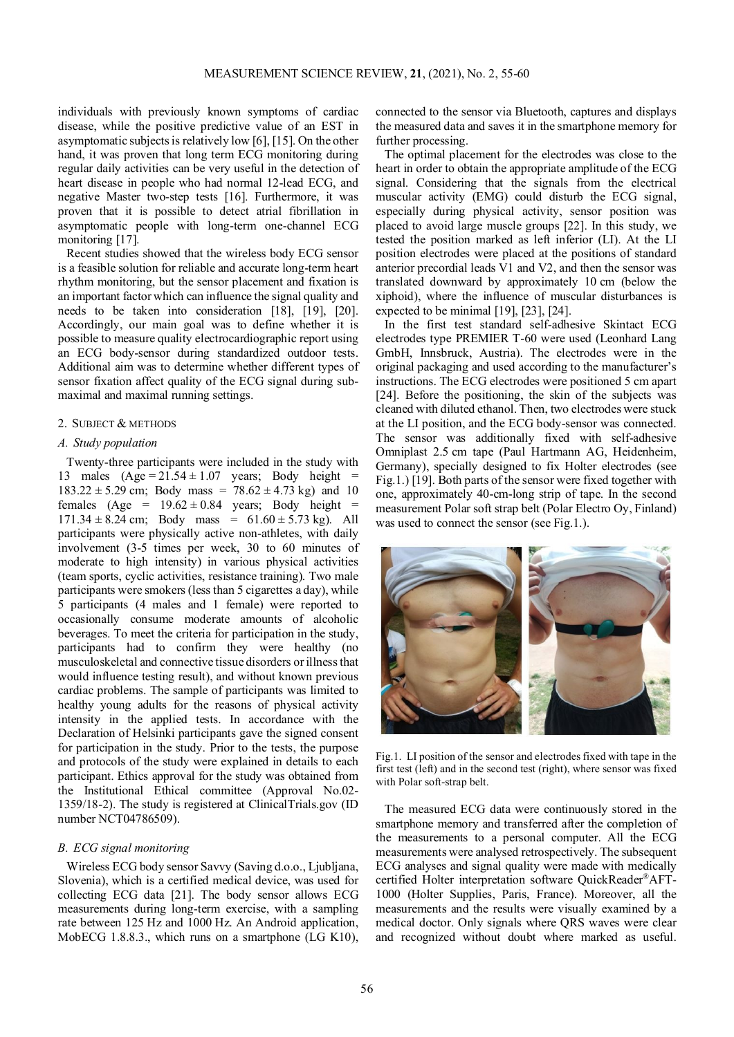individuals with previously known symptoms of cardiac disease, while the positive predictive value of an EST in asymptomatic subjects is relatively low [6], [15]. On the other hand, it was proven that long term ECG monitoring during regular daily activities can be very useful in the detection of heart disease in people who had normal 12-lead ECG, and negative Master two-step tests [16]. Furthermore, it was proven that it is possible to detect atrial fibrillation in asymptomatic people with long-term one-channel ECG monitoring [17].

Recent studies showed that the wireless body ECG sensor is a feasible solution for reliable and accurate long-term heart rhythm monitoring, but the sensor placement and fixation is an important factor which can influence the signal quality and needs to be taken into consideration [18], [19], [20]. Accordingly, our main goal was to define whether it is possible to measure quality electrocardiographic report using an ECG body-sensor during standardized outdoor tests. Additional aim was to determine whether different types of sensor fixation affect quality of the ECG signal during submaximal and maximal running settings.

## 2. SUBJECT & METHODS

## *A. Study population*

Twenty-three participants were included in the study with 13 males  $(Age = 21.54 \pm 1.07$  years; Body height =  $183.22 \pm 5.29$  cm; Body mass =  $78.62 \pm 4.73$  kg) and 10 females (Age =  $19.62 \pm 0.84$  years; Body height =  $171.34 \pm 8.24$  cm; Body mass =  $61.60 \pm 5.73$  kg). All participants were physically active non-athletes, with daily involvement (3-5 times per week, 30 to 60 minutes of moderate to high intensity) in various physical activities (team sports, cyclic activities, resistance training). Two male participants were smokers (less than 5 cigarettes a day), while 5 participants (4 males and 1 female) were reported to occasionally consume moderate amounts of alcoholic beverages. To meet the criteria for participation in the study, participants had to confirm they were healthy (no musculoskeletal and connective tissue disorders or illness that would influence testing result), and without known previous cardiac problems. The sample of participants was limited to healthy young adults for the reasons of physical activity intensity in the applied tests. In accordance with the Declaration of Helsinki participants gave the signed consent for participation in the study. Prior to the tests, the purpose and protocols of the study were explained in details to each participant. Ethics approval for the study was obtained from the Institutional Ethical committee (Approval No.02- 1359/18-2). The study is registered at ClinicalTrials.gov (ID number NCT04786509).

## *B. ECG signal monitoring*

Wireless ECG body sensor Savvy (Saving d.o.o., Ljubljana, Slovenia), which is a certified medical device, was used for collecting ECG data [21]. The body sensor allows ECG measurements during long-term exercise, with a sampling rate between 125 Hz and 1000 Hz. An Android application, MobECG 1.8.8.3., which runs on a smartphone (LG K10),

connected to the sensor via Bluetooth, captures and displays the measured data and saves it in the smartphone memory for further processing.

The optimal placement for the electrodes was close to the heart in order to obtain the appropriate amplitude of the ECG signal. Considering that the signals from the electrical muscular activity (EMG) could disturb the ECG signal, especially during physical activity, sensor position was placed to avoid large muscle groups [22]. In this study, we tested the position marked as left inferior (LI). At the LI position electrodes were placed at the positions of standard anterior precordial leads V1 and V2, and then the sensor was translated downward by approximately 10 cm (below the xiphoid), where the influence of muscular disturbances is expected to be minimal [19], [23], [24].

In the first test standard self-adhesive Skintact ECG electrodes type PREMIER T-60 were used (Leonhard Lang GmbH, Innsbruck, Austria). The electrodes were in the original packaging and used according to the manufacturer's instructions. The ECG electrodes were positioned 5 cm apart [24]. Before the positioning, the skin of the subjects was cleaned with diluted ethanol. Then, two electrodes were stuck at the LI position, and the ECG body-sensor was connected. The sensor was additionally fixed with self-adhesive Omniplast 2.5 cm tape (Paul Hartmann AG, Heidenheim, Germany), specially designed to fix Holter electrodes (see Fig.1.) [19]. Both parts of the sensor were fixed together with one, approximately 40-cm-long strip of tape. In the second measurement Polar soft strap belt (Polar Electro Oy, Finland) was used to connect the sensor (see Fig.1.).



Fig.1. LI position of the sensor and electrodes fixed with tape in the first test (left) and in the second test (right), where sensor was fixed with Polar soft-strap belt.

The measured ECG data were continuously stored in the smartphone memory and transferred after the completion of the measurements to a personal computer. All the ECG measurements were analysed retrospectively. The subsequent ECG analyses and signal quality were made with medically certified Holter interpretation software QuickReader®AFT-1000 (Holter Supplies, Paris, France). Moreover, all the measurements and the results were visually examined by a medical doctor. Only signals where QRS waves were clear and recognized without doubt where marked as useful.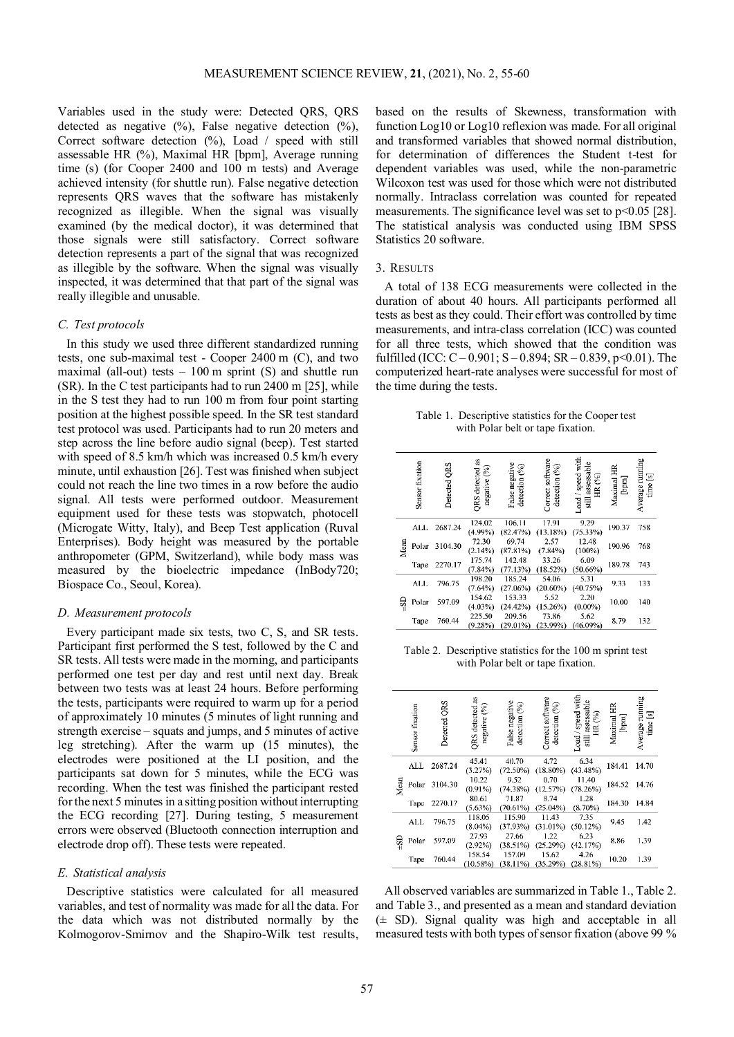Variables used in the study were: Detected QRS, QRS detected as negative  $(\%)$ , False negative detection  $(\%)$ , Correct software detection (%), Load / speed with still assessable HR (%), Maximal HR [bpm], Average running time (s) (for Cooper 2400 and 100 m tests) and Average achieved intensity (for shuttle run). False negative detection represents QRS waves that the software has mistakenly recognized as illegible. When the signal was visually examined (by the medical doctor), it was determined that those signals were still satisfactory. Correct software detection represents a part of the signal that was recognized as illegible by the software. When the signal was visually inspected, it was determined that that part of the signal was really illegible and unusable.

#### *C. Test protocols*

In this study we used three different standardized running tests, one sub-maximal test - Cooper 2400 m (C), and two maximal (all-out) tests  $-100$  m sprint (S) and shuttle run (SR). In the C test participants had to run 2400 m [25], while in the S test they had to run 100 m from four point starting position at the highest possible speed. In the SR test standard test protocol was used. Participants had to run 20 meters and step across the line before audio signal (beep). Test started with speed of 8.5 km/h which was increased 0.5 km/h every minute, until exhaustion [26]. Test was finished when subject could not reach the line two times in a row before the audio signal. All tests were performed outdoor. Measurement equipment used for these tests was stopwatch, photocell (Microgate Witty, Italy), and Beep Test application (Ruval Enterprises). Body height was measured by the portable anthropometer (GPM, Switzerland), while body mass was measured by the bioelectric impedance (InBody720; Biospace Co., Seoul, Korea).

## *D. Measurement protocols*

Every participant made six tests, two C, S, and SR tests. Participant first performed the S test, followed by the C and SR tests. All tests were made in the morning, and participants performed one test per day and rest until next day. Break between two tests was at least 24 hours. Before performing the tests, participants were required to warm up for a period of approximately 10 minutes (5 minutes of light running and strength exercise – squats and jumps, and 5 minutes of active leg stretching). After the warm up (15 minutes), the electrodes were positioned at the LI position, and the participants sat down for 5 minutes, while the ECG was recording. When the test was finished the participant rested for the next 5 minutes in a sitting position without interrupting the ECG recording [27]. During testing, 5 measurement errors were observed (Bluetooth connection interruption and electrode drop off). These tests were repeated.

#### *E. Statistical analysis*

Descriptive statistics were calculated for all measured variables, and test of normality was made for all the data. For the data which was not distributed normally by the Kolmogorov-Smirnov and the Shapiro-Wilk test results,

based on the results of Skewness, transformation with function Log10 or Log10 reflexion was made. For all original and transformed variables that showed normal distribution, for determination of differences the Student t-test for dependent variables was used, while the non-parametric Wilcoxon test was used for those which were not distributed normally. Intraclass correlation was counted for repeated measurements. The significance level was set to  $p<0.05$  [28]. The statistical analysis was conducted using IBM SPSS Statistics 20 software.

#### 3. RESULTS

A total of 138 ECG measurements were collected in the duration of about 40 hours. All participants performed all tests as best as they could. Their effort was controlled by time measurements, and intra-class correlation (ICC) was counted for all three tests, which showed that the condition was fulfilled (ICC:  $C - 0.901$ ;  $S - 0.894$ ;  $SR - 0.839$ ,  $p < 0.01$ ). The computerized heart-rate analyses were successful for most of the time during the tests.

| Table 1. Descriptive statistics for the Cooper test |
|-----------------------------------------------------|
| with Polar belt or tape fixation.                   |

|      | Sensor fixation | <b>ORS</b><br>Detected | ä<br>€<br><b>ORS</b> detected<br>negative | False negative<br>detection (%) | Correct software<br>detection (%) | Load / speed with<br>still assessable<br>HR (%) | Maximal HR<br>$[$ langd $]$ | Average running<br>⊡<br>$time$ |
|------|-----------------|------------------------|-------------------------------------------|---------------------------------|-----------------------------------|-------------------------------------------------|-----------------------------|--------------------------------|
|      | ALL             | 2687.24                | 124.02<br>$(4.99\%)$                      | 106.11<br>(82.47%)              | 17.91<br>(13.18%)                 | 9.29<br>$(75.33\%)$                             | 190.37                      | 758                            |
| Mean | Polar           | 3104.30                | 72.30<br>(2.14%)                          | 69.74<br>(87.81%)               | 2.57<br>$(7.84\%)$                | 12.48<br>(100%)                                 | 190.96                      | 768                            |
|      | Tape            | 2270.17                | 175.74<br>(7.84%)                         | 142.48<br>(77.13%)              | 33.26<br>(18.52%)                 | 6.09<br>(50.66%)                                | 189.78                      | 743                            |
|      | ALL.            | 796.75                 | 198.20<br>(7.64%)                         | 185.24<br>(27.06%)              | 54.06<br>$(20.60\%)$              | 5.31<br>(40.75%)                                | 9.33                        | 133                            |
| ဌာ   | Polar           | 597.09                 | 154.62<br>(4.03%)                         | 153.33<br>(24.42%)              | 5.52<br>(15.26%)                  | 2.20<br>$(0.00\%)$                              | 10.00                       | 140                            |
|      | Tape            | 760.44                 | 225.50<br>(9.28%)                         | 209.56<br>(29.01%)              | 73.86<br>(23.99%)                 | 5.62<br>$(46.09\%)$                             | 8.79                        | 132                            |
|      |                 |                        |                                           |                                 |                                   |                                                 |                             |                                |

Table 2. Descriptive statistics for the 100 m sprint test with Polar belt or tape fixation.

|      | Sensor fixation | Detected QRS | S<br>3<br><b>QRS</b> detected<br>negative | False negative<br>⊗<br>detection | Correct software<br>detection (%) | speed with<br>assessable<br>$\mathcal{E}$<br>$\widetilde{H}$<br>∼<br>oad.<br>still | Maximal HR | Average running<br>time [8] |
|------|-----------------|--------------|-------------------------------------------|----------------------------------|-----------------------------------|------------------------------------------------------------------------------------|------------|-----------------------------|
|      | ALL.            | 2687.24      | 45.41<br>(3.27%)                          | 40.70<br>$(72.50\%)$             | 4.72<br>$(18.80\%)$               | 6.34<br>$(43.48\%)$                                                                | 184.41     | 14.70                       |
| Mean | Polar           | 3104.30      | 10.22<br>$(0.91\%)$                       | 9.52<br>(74.38%)                 | 0.70<br>(12.57%)                  | 11.40<br>$(78.26\%)$                                                               | 184.52     | 14.76                       |
|      | Tape            | 2270.17      | 80.61<br>(5.63%)                          | 71.87<br>$(70.61\%)$             | 8.74<br>$(25.04\%)$               | 1.28<br>$(8.70\%)$                                                                 | 184.30     | 14.84                       |
|      | ALL             | 796.75       | 118.05<br>$(8.04\%)$                      | 115.90<br>(37.93%)               | 11.43<br>$(31.01\%)$              | 7.35<br>$(50.12\%)$                                                                | 9.45       | 1.42                        |
| ခု   | Polar           | 597.09       | 27.93<br>(2.92%)                          | 27.66<br>(38.51%)                | 1.22<br>(25.29%)                  | 6.23<br>(42.17%)                                                                   | 8.86       | 1.39                        |
|      | Tape            | 760.44       | 158.54<br>(10.58%)                        | 157.09<br>(38.11%)               | 15.62<br>(35.29%)                 | 4.26<br>(28.81%)                                                                   | 10.20      | 1.39                        |

All observed variables are summarized in Table 1., Table 2. and Table 3., and presented as a mean and standard deviation  $(\pm$  SD). Signal quality was high and acceptable in all measured tests with both types of sensor fixation (above 99 %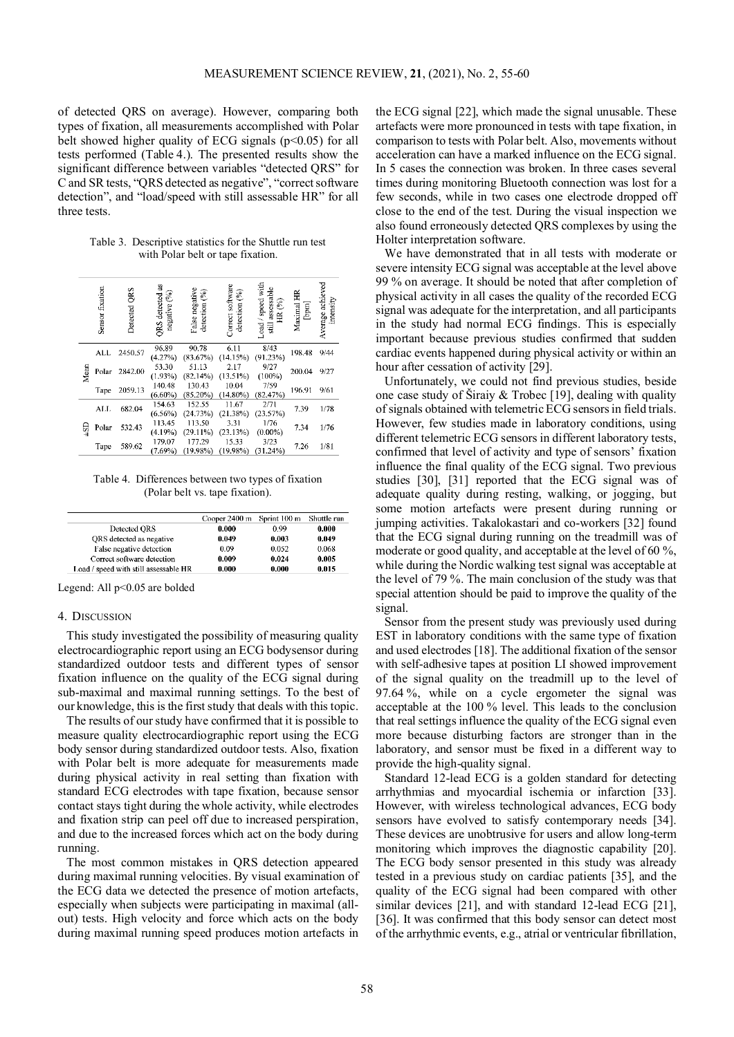of detected QRS on average). However, comparing both types of fixation, all measurements accomplished with Polar belt showed higher quality of ECG signals ( $p<0.05$ ) for all tests performed (Table 4.). The presented results show the significant difference between variables "detected QRS" for C and SR tests, "QRS detected as negative", "correct software detection", and "load/speed with still assessable HR" for all three tests.

Table 3. Descriptive statistics for the Shuttle run test with Polar belt or tape fixation.

|       | Sensor fixation | QRS<br>Detected | QRS detected as<br>negative (%) | False negative<br>detection (%) | Correct software<br>detection (%) | Load / speed with<br>assessable<br>ଛ<br>g<br>E | Maximal HR<br>[nm] | Average achieved<br>intensity |
|-------|-----------------|-----------------|---------------------------------|---------------------------------|-----------------------------------|------------------------------------------------|--------------------|-------------------------------|
|       | ALL             | 2450.57         | 96.89<br>(4.27%)                | 90.78<br>(83.67%)               | 6.11<br>(14.15%)                  | 8/43<br>(91.23%)                               | 198.48             | 9/44                          |
| Mean  | Polar           | 2842.00         | 53.30<br>(1.93%)                | 51.13<br>(82.14%)               | 2.17<br>(13.51%)                  | 9/27<br>(100%)                                 | 200.04             | 9/27                          |
|       | Tape            | 2059.13         | 140.48<br>$(6.60\%)$            | 130.43<br>$(85.20\%)$           | 10.04<br>$(14.80\%)$              | 7/59<br>(82.47%)                               | 196.91             | 9/61                          |
|       | ALL             | 682.04          | 154.63<br>$(6.56\%)$            | 152.55<br>(24.73%)              | 11.67<br>(21.38%)                 | 2/71<br>(23.57%)                               | 7.39               | 1/78                          |
| $-51$ | Polar           | 532.43          | 113.45<br>(4.19%)               | 113.50<br>(29.11%)              | 3.31<br>(23.13%)                  | 1/76<br>$(0.00\%)$                             | 7.34               | 1/76                          |
|       | Tape            | 589.62          | 179.07<br>(7.69%)               | 177.29<br>(19.98%)              | 15.33<br>(19.98%)                 | 3/23<br>(31.24%)                               | 7.26               | 1/81                          |

Table 4. Differences between two types of fixation (Polar belt vs. tape fixation).

|                                       | Cooper 2400 m Sprint 100 m |       | Shuttle run |
|---------------------------------------|----------------------------|-------|-------------|
| Detected ORS                          | 0.000                      | 0.99  | 0.000       |
| ORS detected as negative              | 0.049                      | 0.003 | 0.049       |
| False negative detection              | 0.09                       | 0.052 | 0.068       |
| Correct software detection            | 0.009                      | 0.024 | 0.005       |
| Load / speed with still assessable HR | 0.000                      | 0.000 | 0.015       |

Legend: All  $p<0.05$  are bolded

#### 4. DISCUSSION

This study investigated the possibility of measuring quality electrocardiographic report using an ECG bodysensor during standardized outdoor tests and different types of sensor fixation influence on the quality of the ECG signal during sub-maximal and maximal running settings. To the best of our knowledge, this is the first study that deals with this topic.

The results of our study have confirmed that it is possible to measure quality electrocardiographic report using the ECG body sensor during standardized outdoor tests. Also, fixation with Polar belt is more adequate for measurements made during physical activity in real setting than fixation with standard ECG electrodes with tape fixation, because sensor contact stays tight during the whole activity, while electrodes and fixation strip can peel off due to increased perspiration, and due to the increased forces which act on the body during running.

The most common mistakes in QRS detection appeared during maximal running velocities. By visual examination of the ECG data we detected the presence of motion artefacts, especially when subjects were participating in maximal (allout) tests. High velocity and force which acts on the body during maximal running speed produces motion artefacts in

the ECG signal [22], which made the signal unusable. These artefacts were more pronounced in tests with tape fixation, in comparison to tests with Polar belt. Also, movements without acceleration can have a marked influence on the ECG signal. In 5 cases the connection was broken. In three cases several times during monitoring Bluetooth connection was lost for a few seconds, while in two cases one electrode dropped off close to the end of the test. During the visual inspection we also found erroneously detected QRS complexes by using the Holter interpretation software.

We have demonstrated that in all tests with moderate or severe intensity ECG signal was acceptable at the level above 99 % on average. It should be noted that after completion of physical activity in all cases the quality of the recorded ECG signal was adequate for the interpretation, and all participants in the study had normal ECG findings. This is especially important because previous studies confirmed that sudden cardiac events happened during physical activity or within an hour after cessation of activity [29].

Unfortunately, we could not find previous studies, beside one case study of Širaiy & Trobec [19], dealing with quality of signals obtained with telemetric ECG sensors in field trials. However, few studies made in laboratory conditions, using different telemetric ECG sensors in different laboratory tests, confirmed that level of activity and type of sensors' fixation influence the final quality of the ECG signal. Two previous studies [30], [31] reported that the ECG signal was of adequate quality during resting, walking, or jogging, but some motion artefacts were present during running or jumping activities. Takalokastari and co-workers [32] found that the ECG signal during running on the treadmill was of moderate or good quality, and acceptable at the level of 60 %, while during the Nordic walking test signal was acceptable at the level of 79 %. The main conclusion of the study was that special attention should be paid to improve the quality of the signal.

Sensor from the present study was previously used during EST in laboratory conditions with the same type of fixation and used electrodes [18]. The additional fixation of the sensor with self-adhesive tapes at position LI showed improvement of the signal quality on the treadmill up to the level of 97.64 %, while on a cycle ergometer the signal was acceptable at the 100 % level. This leads to the conclusion that real settings influence the quality of the ECG signal even more because disturbing factors are stronger than in the laboratory, and sensor must be fixed in a different way to provide the high-quality signal.

Standard 12-lead ECG is a golden standard for detecting arrhythmias and myocardial ischemia or infarction [33]. However, with wireless technological advances, ECG body sensors have evolved to satisfy contemporary needs [34]. These devices are unobtrusive for users and allow long-term monitoring which improves the diagnostic capability [20]. The ECG body sensor presented in this study was already tested in a previous study on cardiac patients [35], and the quality of the ECG signal had been compared with other similar devices [21], and with standard 12-lead ECG [21], [36]. It was confirmed that this body sensor can detect most of the arrhythmic events, e.g., atrial or ventricular fibrillation,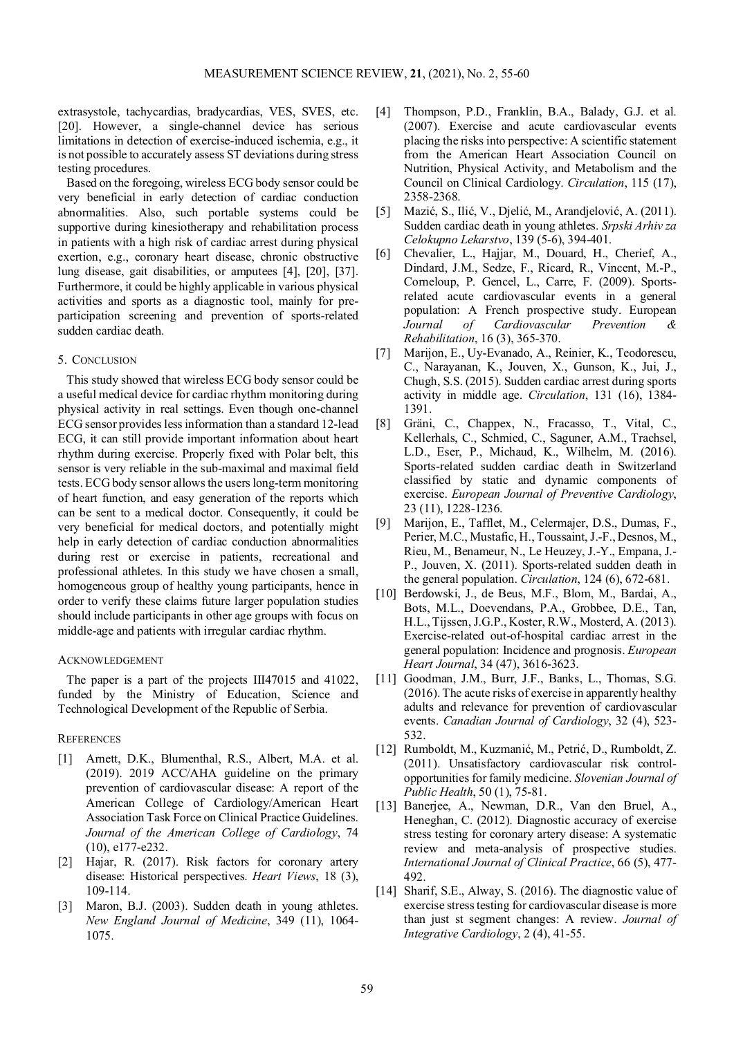extrasystole, tachycardias, bradycardias, VES, SVES, etc. [20]. However, a single-channel device has serious limitations in detection of exercise-induced ischemia, e.g., it is not possible to accurately assess ST deviations during stress testing procedures.

Based on the foregoing, wireless ECG body sensor could be very beneficial in early detection of cardiac conduction abnormalities. Also, such portable systems could be supportive during kinesiotherapy and rehabilitation process in patients with a high risk of cardiac arrest during physical exertion, e.g., coronary heart disease, chronic obstructive lung disease, gait disabilities, or amputees [4], [20], [37]. Furthermore, it could be highly applicable in various physical activities and sports as a diagnostic tool, mainly for preparticipation screening and prevention of sports-related sudden cardiac death.

## 5. CONCLUSION

This study showed that wireless ECG body sensor could be a useful medical device for cardiac rhythm monitoring during physical activity in real settings. Even though one-channel ECG sensor provides less information than a standard 12-lead ECG, it can still provide important information about heart rhythm during exercise. Properly fixed with Polar belt, this sensor is very reliable in the sub-maximal and maximal field tests. ECG body sensor allows the users long-term monitoring of heart function, and easy generation of the reports which can be sent to a medical doctor. Consequently, it could be very beneficial for medical doctors, and potentially might help in early detection of cardiac conduction abnormalities during rest or exercise in patients, recreational and professional athletes. In this study we have chosen a small, homogeneous group of healthy young participants, hence in order to verify these claims future larger population studies should include participants in other age groups with focus on middle-age and patients with irregular cardiac rhythm.

#### ACKNOWLEDGEMENT

The paper is a part of the projects III47015 and 41022, funded by the Ministry of Education, Science and Technological Development of the Republic of Serbia.

## **REFERENCES**

- [1] Arnett, D.K., Blumenthal, R.S., Albert, M.A. et al. (2019). 2019 ACC/AHA guideline on the primary prevention of cardiovascular disease: A report of the American College of Cardiology/American Heart Association Task Force on Clinical Practice Guidelines. *Journal of the American College of Cardiology*, 74 (10), e177-e232.
- [2] Hajar, R. (2017). Risk factors for coronary artery disease: Historical perspectives. *Heart Views*, 18 (3), 109-114.
- [3] Maron, B.J. (2003). Sudden death in young athletes. *New England Journal of Medicine*, 349 (11), 1064- 1075.
- [4] Thompson, P.D., Franklin, B.A., Balady, G.J. et al. (2007). Exercise and acute cardiovascular events placing the risks into perspective: A scientific statement from the American Heart Association Council on Nutrition, Physical Activity, and Metabolism and the Council on Clinical Cardiology. *Circulation*, 115 (17), 2358-2368.
- [5] Mazić, S., Ilić, V., Djelić, M., Arandjelović, A. (2011). Sudden cardiac death in young athletes. *Srpski Arhiv za Celokupno Lekarstvo*, 139 (5-6), 394-401.
- [6] Chevalier, L., Hajjar, M., Douard, H., Cherief, A., Dindard, J.M., Sedze, F., Ricard, R., Vincent, M.-P., Corneloup, P. Gencel, L., Carre, F. (2009). Sportsrelated acute cardiovascular events in a general population: A French prospective study. European *Journal of Cardiovascular Prevention & Rehabilitation*, 16 (3), 365-370.
- [7] Marijon, E., Uy-Evanado, A., Reinier, K., Teodorescu, C., Narayanan, K., Jouven, X., Gunson, K., Jui, J., Chugh, S.S. (2015). Sudden cardiac arrest during sports activity in middle age. *Circulation*, 131 (16), 1384- 1391.
- [8] Gräni, C., Chappex, N., Fracasso, T., Vital, C., Kellerhals, C., Schmied, C., Saguner, A.M., Trachsel, L.D., Eser, P., Michaud, K., Wilhelm, M. (2016). Sports-related sudden cardiac death in Switzerland classified by static and dynamic components of exercise. *European Journal of Preventive Cardiology*, 23 (11), 1228-1236.
- [9] Marijon, E., Tafflet, M., Celermajer, D.S., Dumas, F., Perier, M.C., Mustafic, H., Toussaint, J.-F., Desnos, M., Rieu, M., Benameur, N., Le Heuzey, J.-Y., Empana, J.- P., Jouven, X. (2011). Sports-related sudden death in the general population. *Circulation*, 124 (6), 672-681.
- [10] Berdowski, J., de Beus, M.F., Blom, M., Bardai, A., Bots, M.L., Doevendans, P.A., Grobbee, D.E., Tan, H.L., Tijssen, J.G.P., Koster, R.W., Mosterd, A. (2013). Exercise-related out-of-hospital cardiac arrest in the general population: Incidence and prognosis. *European Heart Journal*, 34 (47), 3616-3623.
- [11] Goodman, J.M., Burr, J.F., Banks, L., Thomas, S.G. (2016). The acute risks of exercise in apparently healthy adults and relevance for prevention of cardiovascular events. *Canadian Journal of Cardiology*, 32 (4), 523- 532.
- [12] Rumboldt, M., Kuzmanić, M., Petrić, D., Rumboldt, Z. (2011). Unsatisfactory cardiovascular risk controlopportunities for family medicine. *Slovenian Journal of Public Health*, 50 (1), 75-81.
- [13] Banerjee, A., Newman, D.R., Van den Bruel, A., Heneghan, C. (2012). Diagnostic accuracy of exercise stress testing for coronary artery disease: A systematic review and meta-analysis of prospective studies. *International Journal of Clinical Practice*, 66 (5), 477- 492.
- [14] Sharif, S.E., Alway, S. (2016). The diagnostic value of exercise stress testing for cardiovascular disease is more than just st segment changes: A review. *Journal of Integrative Cardiology*, 2 (4), 41-55.